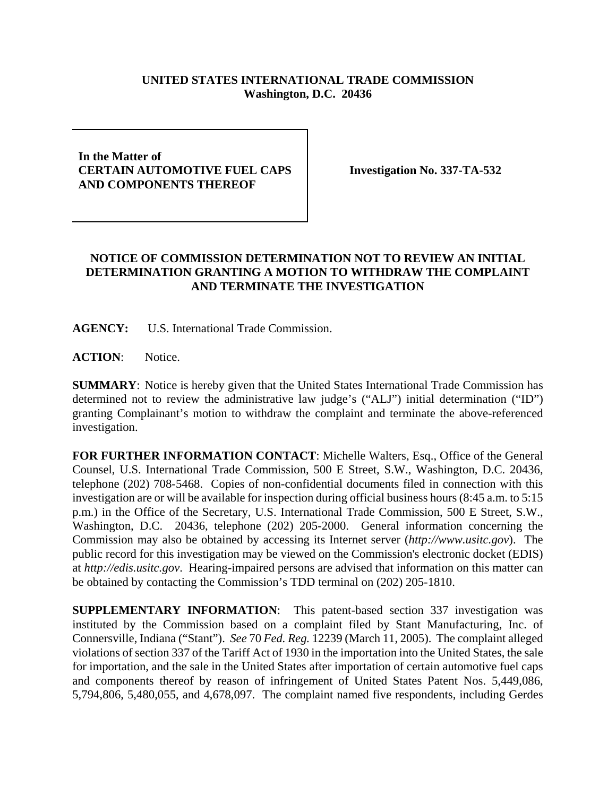## **UNITED STATES INTERNATIONAL TRADE COMMISSION Washington, D.C. 20436**

## **In the Matter of CERTAIN AUTOMOTIVE FUEL CAPS AND COMPONENTS THEREOF**

**Investigation No. 337-TA-532**

## **NOTICE OF COMMISSION DETERMINATION NOT TO REVIEW AN INITIAL DETERMINATION GRANTING A MOTION TO WITHDRAW THE COMPLAINT AND TERMINATE THE INVESTIGATION**

**AGENCY:** U.S. International Trade Commission.

**ACTION**: Notice.

**SUMMARY**: Notice is hereby given that the United States International Trade Commission has determined not to review the administrative law judge's ("ALJ") initial determination ("ID") granting Complainant's motion to withdraw the complaint and terminate the above-referenced investigation.

**FOR FURTHER INFORMATION CONTACT**: Michelle Walters, Esq., Office of the General Counsel, U.S. International Trade Commission, 500 E Street, S.W., Washington, D.C. 20436, telephone (202) 708-5468. Copies of non-confidential documents filed in connection with this investigation are or will be available for inspection during official business hours (8:45 a.m. to 5:15 p.m.) in the Office of the Secretary, U.S. International Trade Commission, 500 E Street, S.W., Washington, D.C. 20436, telephone (202) 205-2000. General information concerning the Commission may also be obtained by accessing its Internet server (*http://www.usitc.gov*). The public record for this investigation may be viewed on the Commission's electronic docket (EDIS) at *http://edis.usitc.gov*. Hearing-impaired persons are advised that information on this matter can be obtained by contacting the Commission's TDD terminal on (202) 205-1810.

**SUPPLEMENTARY INFORMATION**: This patent-based section 337 investigation was instituted by the Commission based on a complaint filed by Stant Manufacturing, Inc. of Connersville, Indiana ("Stant"). *See* 70 *Fed. Reg.* 12239 (March 11, 2005). The complaint alleged violations of section 337 of the Tariff Act of 1930 in the importation into the United States, the sale for importation, and the sale in the United States after importation of certain automotive fuel caps and components thereof by reason of infringement of United States Patent Nos. 5,449,086, 5,794,806, 5,480,055, and 4,678,097. The complaint named five respondents, including Gerdes